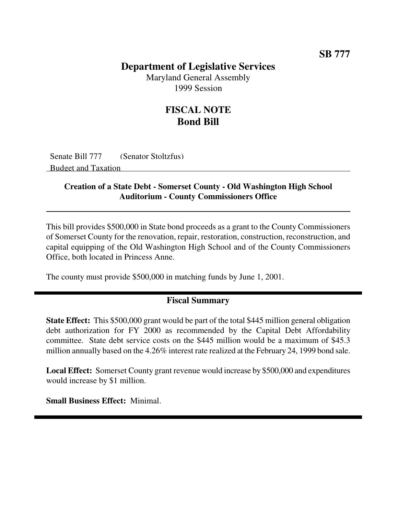## **SB 777**

## **Department of Legislative Services**

Maryland General Assembly 1999 Session

# **FISCAL NOTE Bond Bill**

Senate Bill 777 (Senator Stoltzfus) Budget and Taxation

#### **Creation of a State Debt - Somerset County - Old Washington High School Auditorium - County Commissioners Office**

This bill provides \$500,000 in State bond proceeds as a grant to the County Commissioners of Somerset County for the renovation, repair, restoration, construction, reconstruction, and capital equipping of the Old Washington High School and of the County Commissioners Office, both located in Princess Anne.

The county must provide \$500,000 in matching funds by June 1, 2001.

### **Fiscal Summary**

**State Effect:** This \$500,000 grant would be part of the total \$445 million general obligation debt authorization for FY 2000 as recommended by the Capital Debt Affordability committee. State debt service costs on the \$445 million would be a maximum of \$45.3 million annually based on the 4.26% interest rate realized at the February 24, 1999 bond sale.

**Local Effect:** Somerset County grant revenue would increase by \$500,000 and expenditures would increase by \$1 million.

**Small Business Effect:** Minimal.